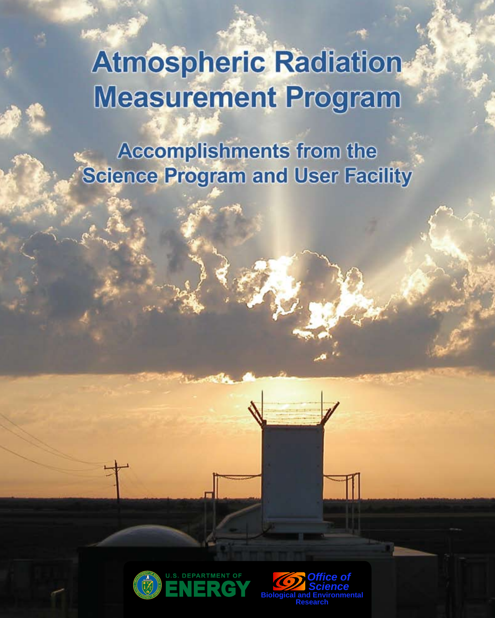# **Atmospheric Radiation Measurement Program**

**Accomplishments from the Science Program and User Facility** 



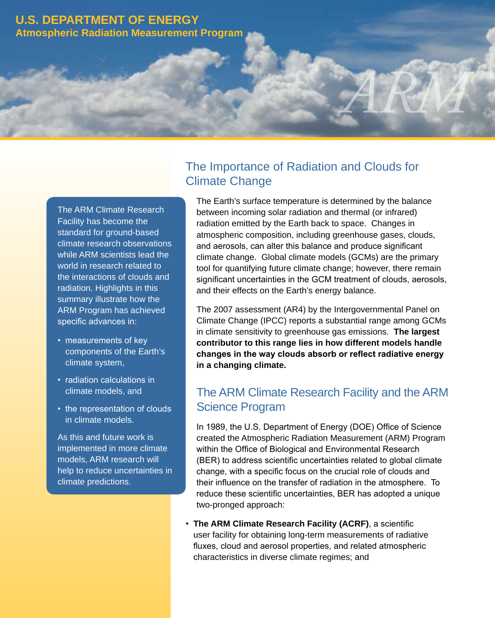### **U.S. Department of Energy Atmospheric Radiation Measurement Program**

The ARM Climate Research Facility has become the standard for ground-based climate research observations while ARM scientists lead the world in research related to the interactions of clouds and radiation. Highlights in this summary illustrate how the ARM Program has achieved specific advances in:

- measurements of key components of the Earth's climate system,
- radiation calculations in climate models, and
- the representation of clouds in climate models.

As this and future work is implemented in more climate models, ARM research will help to reduce uncertainties in climate predictions.

# The Importance of Radiation and Clouds for Climate Change

The Earth's surface temperature is determined by the balance between incoming solar radiation and thermal (or infrared) radiation emitted by the Earth back to space. Changes in atmospheric composition, including greenhouse gases, clouds, and aerosols, can alter this balance and produce significant climate change. Global climate models (GCMs) are the primary tool for quantifying future climate change; however, there remain significant uncertainties in the GCM treatment of clouds, aerosols, and their effects on the Earth's energy balance.

*ARM Accomplishments*

The 2007 assessment (AR4) by the Intergovernmental Panel on Climate Change (IPCC) reports a substantial range among GCMs in climate sensitivity to greenhouse gas emissions. **The largest contributor to this range lies in how different models handle changes in the way clouds absorb or reflect radiative energy in a changing climate.** 

# The ARM Climate Research Facility and the ARM Science Program

In 1989, the U.S. Department of Energy (DOE) Office of Science created the Atmospheric Radiation Measurement (ARM) Program within the Office of Biological and Environmental Research (BER) to address scientific uncertainties related to global climate change, with a specific focus on the crucial role of clouds and their influence on the transfer of radiation in the atmosphere. To reduce these scientific uncertainties, BER has adopted a unique two-pronged approach:

• **The ARM Climate Research Facility (ACRF)**, a scientific user facility for obtaining long-term measurements of radiative fluxes, cloud and aerosol properties, and related atmospheric characteristics in diverse climate regimes; and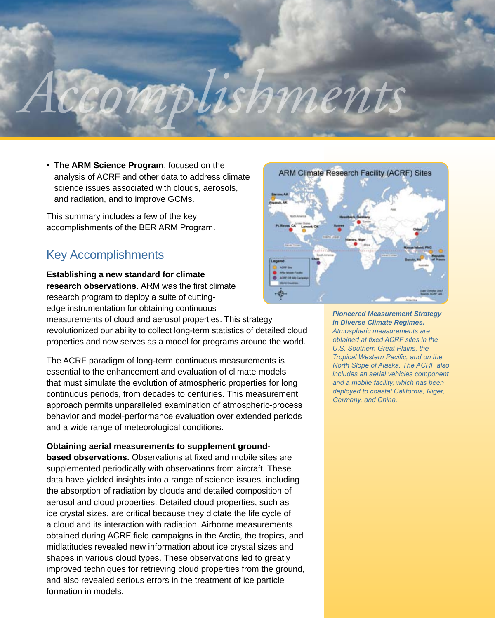# *ARM Accomplishments*

• **The ARM Science Program**, focused on the analysis of ACRF and other data to address climate science issues associated with clouds, aerosols, and radiation, and to improve GCMs.

This summary includes a few of the key accomplishments of the BER ARM Program.

# Key Accomplishments

**Establishing a new standard for climate research observations.** ARM was the first climate research program to deploy a suite of cuttingedge instrumentation for obtaining continuous

measurements of cloud and aerosol properties. This strategy revolutionized our ability to collect long-term statistics of detailed cloud properties and now serves as a model for programs around the world.

The ACRF paradigm of long-term continuous measurements is essential to the enhancement and evaluation of climate models that must simulate the evolution of atmospheric properties for long continuous periods, from decades to centuries. This measurement approach permits unparalleled examination of atmospheric-process behavior and model-performance evaluation over extended periods and a wide range of meteorological conditions.

**Obtaining aerial measurements to supplement groundbased observations.** Observations at fixed and mobile sites are supplemented periodically with observations from aircraft. These data have yielded insights into a range of science issues, including the absorption of radiation by clouds and detailed composition of aerosol and cloud properties. Detailed cloud properties, such as ice crystal sizes, are critical because they dictate the life cycle of a cloud and its interaction with radiation. Airborne measurements obtained during ACRF field campaigns in the Arctic, the tropics, and midlatitudes revealed new information about ice crystal sizes and shapes in various cloud types. These observations led to greatly improved techniques for retrieving cloud properties from the ground, and also revealed serious errors in the treatment of ice particle formation in models.



*Pioneered Measurement Strategy in Diverse Climate Regimes. Atmospheric measurements are obtained at fixed ACRF sites in the U.S. Southern Great Plains, the Tropical Western Pacific, and on the North Slope of Alaska. The ACRF also includes an aerial vehicles component and a mobile facility, which has been deployed to coastal California, Niger, Germany, and China.*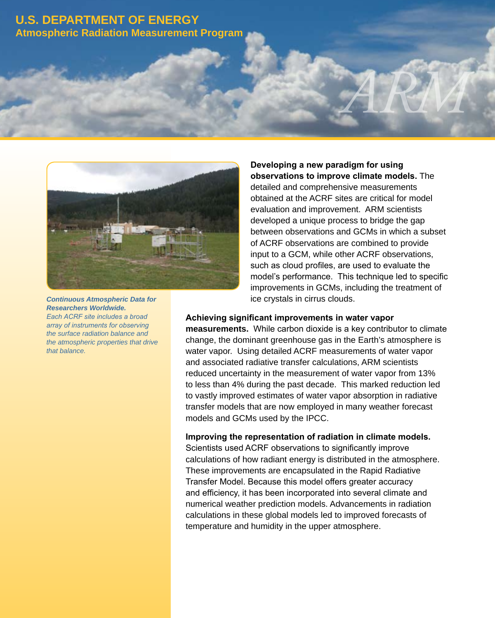## **U.S. Department of Energy Atmospheric Radiation Measurement Program**



*Continuous Atmospheric Data for Researchers Worldwide. Each ACRF site includes a broad array of instruments for observing the surface radiation balance and the atmospheric properties that drive that balance.*

### **Developing a new paradigm for using observations to improve climate models.** The

*ARM Accomplishments*

detailed and comprehensive measurements obtained at the ACRF sites are critical for model evaluation and improvement. ARM scientists developed a unique process to bridge the gap between observations and GCMs in which a subset of ACRF observations are combined to provide input to a GCM, while other ACRF observations, such as cloud profiles, are used to evaluate the model's performance. This technique led to specific improvements in GCMs, including the treatment of ice crystals in cirrus clouds.

#### **Achieving significant improvements in water vapor**

**measurements.** While carbon dioxide is a key contributor to climate change, the dominant greenhouse gas in the Earth's atmosphere is water vapor. Using detailed ACRF measurements of water vapor and associated radiative transfer calculations, ARM scientists reduced uncertainty in the measurement of water vapor from 13% to less than 4% during the past decade. This marked reduction led to vastly improved estimates of water vapor absorption in radiative transfer models that are now employed in many weather forecast models and GCMs used by the IPCC.

#### **Improving the representation of radiation in climate models.**

Scientists used ACRF observations to significantly improve calculations of how radiant energy is distributed in the atmosphere. These improvements are encapsulated in the Rapid Radiative Transfer Model. Because this model offers greater accuracy and efficiency, it has been incorporated into several climate and numerical weather prediction models. Advancements in radiation calculations in these global models led to improved forecasts of temperature and humidity in the upper atmosphere.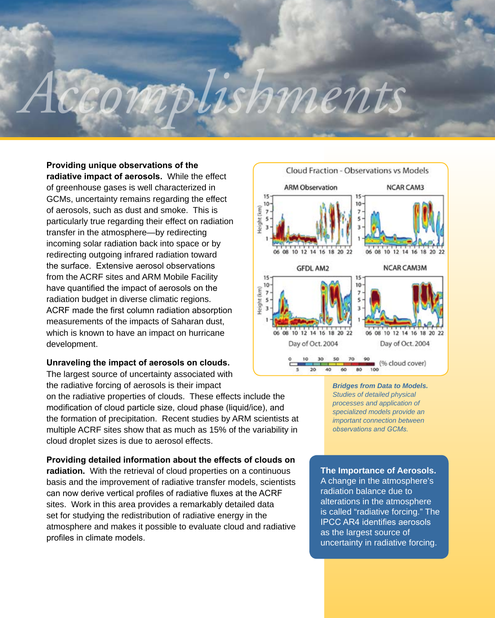# *ARM Accomplishments*

**Providing unique observations of the radiative impact of aerosols.** While the effect of greenhouse gases is well characterized in GCMs, uncertainty remains regarding the effect of aerosols, such as dust and smoke. This is particularly true regarding their effect on radiation transfer in the atmosphere—by redirecting incoming solar radiation back into space or by redirecting outgoing infrared radiation toward the surface. Extensive aerosol observations from the ACRF sites and ARM Mobile Facility have quantified the impact of aerosols on the radiation budget in diverse climatic regions. ACRF made the first column radiation absorption measurements of the impacts of Saharan dust, which is known to have an impact on hurricane development.

#### **Unraveling the impact of aerosols on clouds.**

The largest source of uncertainty associated with the radiative forcing of aerosols is their impact

on the radiative properties of clouds. These effects include the modification of cloud particle size, cloud phase (liquid/ice), and the formation of precipitation. Recent studies by ARM scientists at multiple ACRF sites show that as much as 15% of the variability in cloud droplet sizes is due to aerosol effects.

#### **Providing detailed information about the effects of clouds on**

**radiation.** With the retrieval of cloud properties on a continuous basis and the improvement of radiative transfer models, scientists can now derive vertical profiles of radiative fluxes at the ACRF sites. Work in this area provides a remarkably detailed data set for studying the redistribution of radiative energy in the atmosphere and makes it possible to evaluate cloud and radiative profiles in climate models.



*Bridges from Data to Models. Studies of detailed physical processes and application of specialized models provide an important connection between observations and GCMs.*

#### **The Importance of Aerosols.**

A change in the atmosphere's radiation balance due to alterations in the atmosphere is called "radiative forcing." The IPCC AR4 identifies aerosols as the largest source of uncertainty in radiative forcing.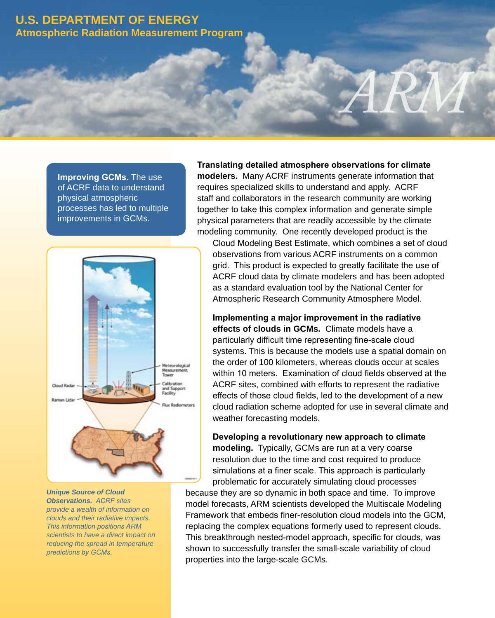### **U.S. Department of Energy Atmospheric Radiation Measurement Program**

**Improving GCMs.** The use of ACRF data to understand physical atmospheric processes has led to multiple improvements in GCMs.



*Unique Source of Cloud Observations. ACRF sites provide a wealth of information on clouds and their radiative impacts. This information positions ARM scientists to have a direct impact on reducing the spread in temperature predictions by GCMs.*

#### **Translating detailed atmosphere observations for climate modelers.** Many ACRF instruments generate information that requires specialized skills to understand and apply. ACRF staff and collaborators in the research community are working together to take this complex information and generate simple physical parameters that are readily accessible by the climate

 $ARM$ 

modeling community. One recently developed product is the Cloud Modeling Best Estimate, which combines a set of cloud observations from various ACRF instruments on a common grid. This product is expected to greatly facilitate the use of ACRF cloud data by climate modelers and has been adopted as a standard evaluation tool by the National Center for Atmospheric Research Community Atmosphere Model.

**Implementing a major improvement in the radiative effects of clouds in GCMs.** Climate models have a particularly difficult time representing fine-scale cloud systems. This is because the models use a spatial domain on the order of 100 kilometers, whereas clouds occur at scales within 10 meters. Examination of cloud fields observed at the ACRF sites, combined with efforts to represent the radiative effects of those cloud fields, led to the development of a new cloud radiation scheme adopted for use in several climate and weather forecasting models.

**Developing a revolutionary new approach to climate modeling.** Typically, GCMs are run at a very coarse resolution due to the time and cost required to produce simulations at a finer scale. This approach is particularly problematic for accurately simulating cloud processes

because they are so dynamic in both space and time. To improve model forecasts, ARM scientists developed the Multiscale Modeling Framework that embeds finer-resolution cloud models into the GCM, replacing the complex equations formerly used to represent clouds. This breakthrough nested-model approach, specific for clouds, was shown to successfully transfer the small-scale variability of cloud properties into the large-scale GCMs.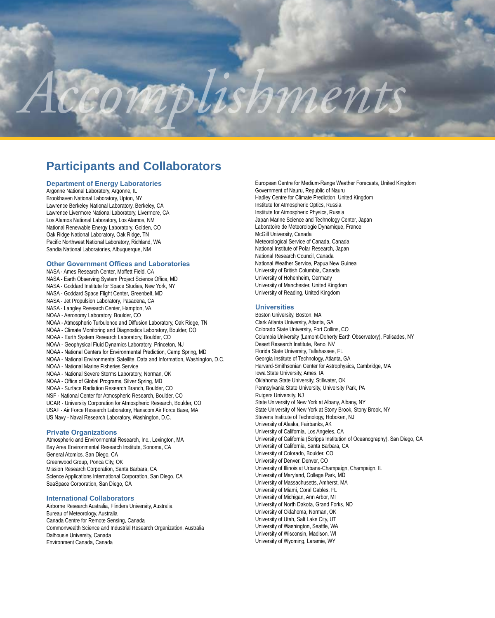# *ARM Accomplishments*

# **Participants and Collaborators**

#### **Department of Energy Laboratories**

Argonne National Laboratory, Argonne, IL Brookhaven National Laboratory, Upton, NY Lawrence Berkeley National Laboratory, Berkeley, CA Lawrence Livermore National Laboratory, Livermore, CA Los Alamos National Laboratory, Los Alamos, NM National Renewable Energy Laboratory, Golden, CO Oak Ridge National Laboratory, Oak Ridge, TN Pacific Northwest National Laboratory, Richland, WA Sandia National Laboratories, Albuquerque, NM

#### **Other Government Offices and Laboratories**

NASA - Ames Research Center, Moffett Field, CA NASA - Earth Observing System Project Science Office, MD NASA - Goddard Institute for Space Studies, New York, NY NASA - Goddard Space Flight Center, Greenbelt, MD NASA - Jet Propulsion Laboratory, Pasadena, CA NASA - Langley Research Center, Hampton, VA NOAA - Aeronomy Laboratory, Boulder, CO NOAA - Atmospheric Turbulence and Diffusion Laboratory, Oak Ridge, TN NOAA - Climate Monitoring and Diagnostics Laboratory, Boulder, CO NOAA - Earth System Research Laboratory, Boulder, CO NOAA - Geophysical Fluid Dynamics Laboratory, Princeton, NJ NOAA - National Centers for Environmental Prediction, Camp Spring, MD NOAA - National Environmental Satellite, Data and Information, Washington, D.C. NOAA - National Marine Fisheries Service NOAA - National Severe Storms Laboratory, Norman, OK NOAA - Office of Global Programs, Silver Spring, MD NOAA - Surface Radiation Research Branch, Boulder, CO NSF - National Center for Atmospheric Research, Boulder, CO UCAR - University Corporation for Atmospheric Research, Boulder, CO USAF - Air Force Research Laboratory, Hanscom Air Force Base, MA US Navy - Naval Research Laboratory, Washington, D.C.

#### **Private Organizations**

Atmospheric and Environmental Research, Inc., Lexington, MA Bay Area Environmental Research Institute, Sonoma, CA General Atomics, San Diego, CA Greenwood Group, Ponca City, OK Mission Research Corporation, Santa Barbara, CA Science Applications International Corporation, San Diego, CA SeaSpace Corporation, San Diego, CA

#### **International Collaborators**

Airborne Research Australia, Flinders University, Australia Bureau of Meteorology, Australia Canada Centre for Remote Sensing, Canada Commonwealth Science and Industrial Research Organization, Australia Dalhousie University, Canada Environment Canada, Canada

European Centre for Medium-Range Weather Forecasts, United Kingdom Government of Nauru, Republic of Nauru Hadley Centre for Climate Prediction, United Kingdom Institute for Atmospheric Optics, Russia Institute for Atmospheric Physics, Russia Japan Marine Science and Technology Center, Japan Laboratoire de Meteorologie Dynamique, France McGill University, Canada Meteorological Service of Canada, Canada National Institute of Polar Research, Japan National Research Council, Canada National Weather Service, Papua New Guinea University of British Columbia, Canada University of Hohenheim, Germany University of Manchester, United Kingdom University of Reading, United Kingdom

#### **Universities**

Boston University, Boston, MA Clark Atlanta University, Atlanta, GA Colorado State University, Fort Collins, CO Columbia University (Lamont-Doherty Earth Observatory), Palisades, NY Desert Research Institute, Reno, NV Florida State University, Tallahassee, FL Georgia Institute of Technology, Atlanta, GA Harvard-Smithsonian Center for Astrophysics, Cambridge, MA Iowa State University, Ames, IA Oklahoma State University, Stillwater, OK Pennsylvania State University, University Park, PA Rutgers University, NJ State University of New York at Albany, Albany, NY State University of New York at Stony Brook, Stony Brook, NY Stevens Institute of Technology, Hoboken, NJ University of Alaska, Fairbanks, AK University of California, Los Angeles, CA University of California (Scripps Institution of Oceanography), San Diego, CA University of California, Santa Barbara, CA University of Colorado, Boulder, CO University of Denver, Denver, CO University of Illinois at Urbana-Champaign, Champaign, IL University of Maryland, College Park, MD University of Massachusetts, Amherst, MA University of Miami, Coral Gables, FL University of Michigan, Ann Arbor, MI University of North Dakota, Grand Forks, ND University of Oklahoma, Norman, OK University of Utah, Salt Lake City, UT University of Washington, Seattle, WA University of Wisconsin, Madison, WI University of Wyoming, Laramie, WY